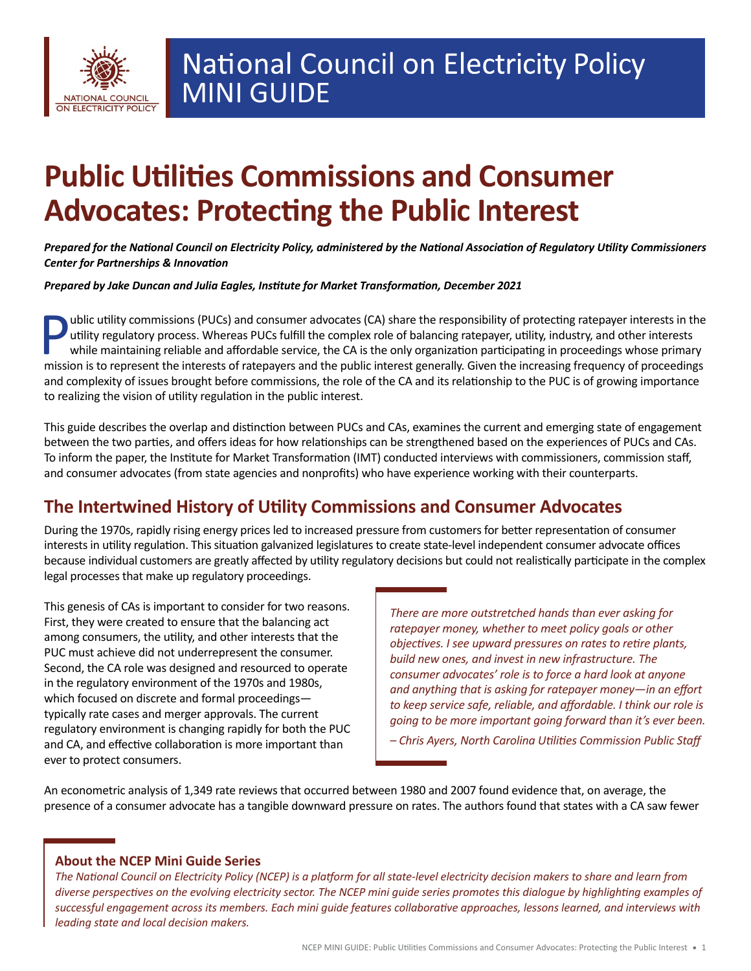

# **Public Utilities Commissions and Consumer Advocates: Protecting the Public Interest**

*Prepared for the National Council on Electricity Policy, administered by the National Association of Regulatory Utility Commissioners Center for Partnerships & Innovation*

*Prepared by Jake Duncan and Julia Eagles, Institute for Market Transformation, December 2021*

**Public utility commissions (PUCs) and consumer advocates (CA) share the responsibility of protecting ratepayer interests in the utility regulatory process. Whereas PUCs fulfill the complex role of balancing ratepayer, uti** utility regulatory process. Whereas PUCs fulfill the complex role of balancing ratepayer, utility, industry, and other interests while maintaining reliable and affordable service, the CA is the only organization participating in proceedings whose primary mission is to represent the interests of ratepayers and the public interest generally. Given the increasing frequency of proceedings and complexity of issues brought before commissions, the role of the CA and its relationship to the PUC is of growing importance to realizing the vision of utility regulation in the public interest.

This guide describes the overlap and distinction between PUCs and CAs, examines the current and emerging state of engagement between the two parties, and offers ideas for how relationships can be strengthened based on the experiences of PUCs and CAs. To inform the paper, the Institute for Market Transformation (IMT) conducted interviews with commissioners, commission staff, and consumer advocates (from state agencies and nonprofits) who have experience working with their counterparts.

# **The Intertwined History of Utility Commissions and Consumer Advocates**

During the 1970s, rapidly rising energy prices led to increased pressure from customers for better representation of consumer interests in utility regulation. This situation galvanized legislatures to create state-level independent consumer advocate offices because individual customers are greatly affected by utility regulatory decisions but could not realistically participate in the complex legal processes that make up regulatory proceedings.

This genesis of CAs is important to consider for two reasons. First, they were created to ensure that the balancing act among consumers, the utility, and other interests that the PUC must achieve did not underrepresent the consumer. Second, the CA role was designed and resourced to operate in the regulatory environment of the 1970s and 1980s, which focused on discrete and formal proceedings typically rate cases and merger approvals. The current regulatory environment is changing rapidly for both the PUC and CA, and effective collaboration is more important than ever to protect consumers.

*There are more outstretched hands than ever asking for ratepayer money, whether to meet policy goals or other objectives. I see upward pressures on rates to retire plants, build new ones, and invest in new infrastructure. The consumer advocates' role is to force a hard look at anyone and anything that is asking for ratepayer money—in an effort to keep service safe, reliable, and affordable. I think our role is going to be more important going forward than it's ever been.*

*– Chris Ayers, North Carolina Utilities Commission Public Staff*

An econometric analysis of 1,349 rate reviews that occurred between 1980 and 2007 found evidence that, on average, the presence of a consumer advocate has a tangible downward pressure on rates. The authors found that states with a CA saw fewer

#### **About the NCEP Mini Guide Series**

*The National Council on Electricity Policy (NCEP) is a platform for all state-level electricity decision makers to share and learn from diverse perspectives on the evolving electricity sector. The NCEP mini guide series promotes this dialogue by highlighting examples of successful engagement across its members. Each mini guide features collaborative approaches, lessons learned, and interviews with leading state and local decision makers.*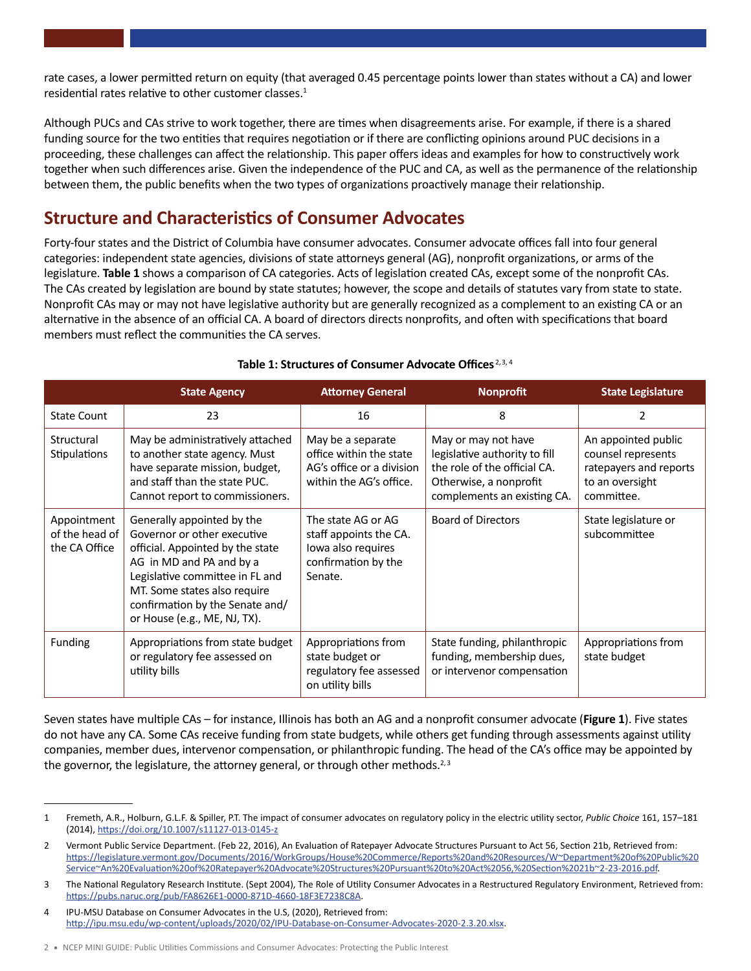rate cases, a lower permitted return on equity (that averaged 0.45 percentage points lower than states without a CA) and lower residential rates relative to other customer classes. $1$ 

Although PUCs and CAs strive to work together, there are times when disagreements arise. For example, if there is a shared funding source for the two entities that requires negotiation or if there are conflicting opinions around PUC decisions in a proceeding, these challenges can affect the relationship. This paper offers ideas and examples for how to constructively work together when such differences arise. Given the independence of the PUC and CA, as well as the permanence of the relationship between them, the public benefits when the two types of organizations proactively manage their relationship.

# **Structure and Characteristics of Consumer Advocates**

Forty-four states and the District of Columbia have consumer advocates. Consumer advocate offices fall into four general categories: independent state agencies, divisions of state attorneys general (AG), nonprofit organizations, or arms of the legislature. **Table 1** shows a comparison of CA categories. Acts of legislation created CAs, except some of the nonprofit CAs. The CAs created by legislation are bound by state statutes; however, the scope and details of statutes vary from state to state. Nonprofit CAs may or may not have legislative authority but are generally recognized as a complement to an existing CA or an alternative in the absence of an official CA. A board of directors directs nonprofits, and often with specifications that board members must reflect the communities the CA serves.

|                                                | <b>State Agency</b>                                                                                                                                                                                                                                             | <b>Attorney General</b>                                                                              | <b>Nonprofit</b>                                                                                                                              | <b>State Legislature</b>                                                                             |
|------------------------------------------------|-----------------------------------------------------------------------------------------------------------------------------------------------------------------------------------------------------------------------------------------------------------------|------------------------------------------------------------------------------------------------------|-----------------------------------------------------------------------------------------------------------------------------------------------|------------------------------------------------------------------------------------------------------|
| <b>State Count</b>                             | 23                                                                                                                                                                                                                                                              | 16                                                                                                   | 8                                                                                                                                             | $\overline{2}$                                                                                       |
| Structural<br>Stipulations                     | May be administratively attached<br>to another state agency. Must<br>have separate mission, budget,<br>and staff than the state PUC.<br>Cannot report to commissioners.                                                                                         | May be a separate<br>office within the state<br>AG's office or a division<br>within the AG's office. | May or may not have<br>legislative authority to fill<br>the role of the official CA.<br>Otherwise, a nonprofit<br>complements an existing CA. | An appointed public<br>counsel represents<br>ratepayers and reports<br>to an oversight<br>committee. |
| Appointment<br>of the head of<br>the CA Office | Generally appointed by the<br>Governor or other executive<br>official. Appointed by the state<br>AG in MD and PA and by a<br>Legislative committee in FL and<br>MT. Some states also require<br>confirmation by the Senate and/<br>or House (e.g., ME, NJ, TX). | The state AG or AG<br>staff appoints the CA.<br>lowa also requires<br>confirmation by the<br>Senate. | <b>Board of Directors</b>                                                                                                                     | State legislature or<br>subcommittee                                                                 |
| Funding                                        | Appropriations from state budget<br>or regulatory fee assessed on<br>utility bills                                                                                                                                                                              | Appropriations from<br>state budget or<br>regulatory fee assessed<br>on utility bills                | State funding, philanthropic<br>funding, membership dues,<br>or intervenor compensation                                                       | Appropriations from<br>state budget                                                                  |

#### **Table 1: Structures of Consumer Advocate Offices** 2,3, 4

Seven states have multiple CAs – for instance, Illinois has both an AG and a nonprofit consumer advocate (**Figure 1**). Five states do not have any CA. Some CAs receive funding from state budgets, while others get funding through assessments against utility companies, member dues, intervenor compensation, or philanthropic funding. The head of the CA's office may be appointed by the governor, the legislature, the attorney general, or through other methods.<sup>2,3</sup>

<sup>1</sup> Fremeth, A.R., Holburn, G.L.F. & Spiller, P.T. The impact of consumer advocates on regulatory policy in the electric utility sector, *Public Choice* 161, 157–181 (2014), <https://doi.org/10.1007/s11127-013-0145-z>

<sup>2</sup> Vermont Public Service Department. (Feb 22, 2016), An Evaluation of Ratepayer Advocate Structures Pursuant to Act 56, Section 21b, Retrieved from: [https://legislature.vermont.gov/Documents/2016/WorkGroups/House%20Commerce/Reports%20and%20Resources/W~Department%20of%20Public%20](https://legislature.vermont.gov/Documents/2016/WorkGroups/House%20Commerce/Reports%20and%20Resources/W~Department%20of%20Public%20Service~An%20Evaluation%20of%20Ratepayer%20Advocate%20Structures%20Pursuant%20to%20Act%2056,%20Section%2021b~2-23-2016.pdf) [Service~An%20Evaluation%20of%20Ratepayer%20Advocate%20Structures%20Pursuant%20to%20Act%2056,%20Section%2021b~2-23-2016.pdf](https://legislature.vermont.gov/Documents/2016/WorkGroups/House%20Commerce/Reports%20and%20Resources/W~Department%20of%20Public%20Service~An%20Evaluation%20of%20Ratepayer%20Advocate%20Structures%20Pursuant%20to%20Act%2056,%20Section%2021b~2-23-2016.pdf).

<sup>3</sup> The National Regulatory Research Institute. (Sept 2004), The Role of Utility Consumer Advocates in a Restructured Regulatory Environment, Retrieved from: <https://pubs.naruc.org/pub/FA8626E1-0000-871D-4660-18F3E7238C8A>.

IPU-MSU Database on Consumer Advocates in the U.S, (2020), Retrieved from: <http://ipu.msu.edu/wp-content/uploads/2020/02/IPU-Database-on-Consumer-Advocates-2020-2.3.20.xlsx>.

<sup>2</sup> • NCEP MINI GUIDE: Public Utilities Commissions and Consumer Advocates: Protecting the Public Interest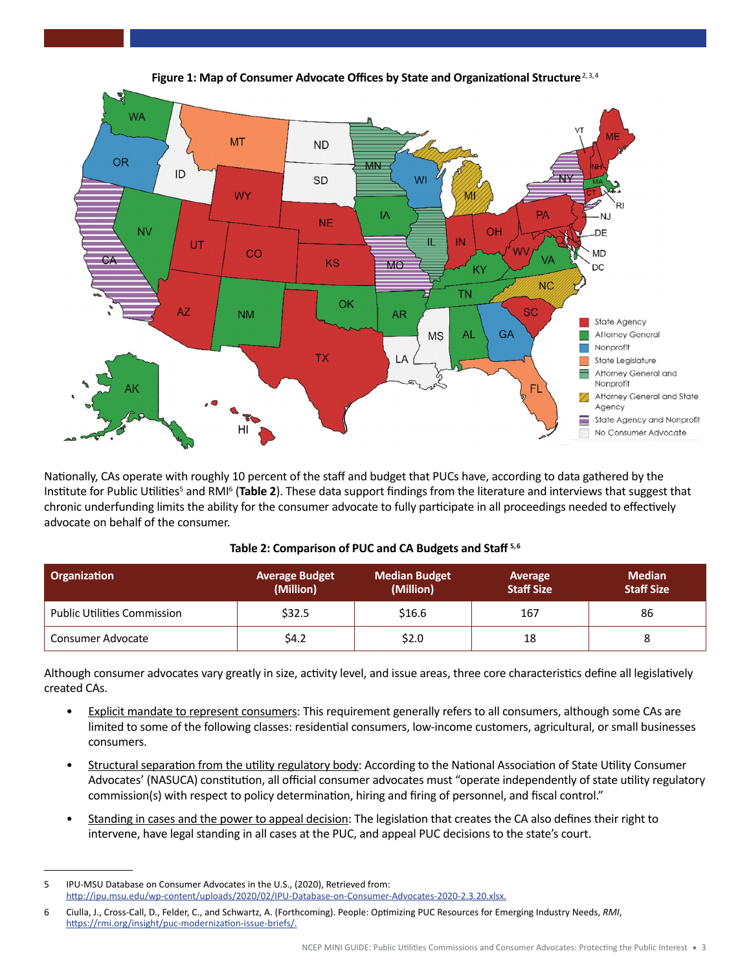

 advocate on behalf of the consumer. Nationally, CAs operate with roughly 10 percent of the staff and budget that PUCs have, according to data gathered by the Institute for Public Utilities<sup>5</sup> and RMI<sup>6</sup> (Table 2). These data support findings from the literature and interviews that suggest that chronic underfunding limits the ability for the consumer advocate to fully participate in all proceedings needed to effectively

#### Table 2: Comparison of PUC and CA Budgets and Staff<sup>5,6</sup>

| <b>Organization</b>                | <b>Average Budget</b><br>(Million) | <b>Median Budget</b><br>(Million) | Average<br><b>Staff Size</b> | <b>Median</b><br><b>Staff Size</b> |
|------------------------------------|------------------------------------|-----------------------------------|------------------------------|------------------------------------|
| <b>Public Utilities Commission</b> | \$32.5                             | \$16.6                            | 167                          | 86                                 |
| Consumer Advocate                  | \$4.2                              | \$2.0                             | 18                           |                                    |

Although consumer advocates vary greatly in size, activity level, and issue areas, three core characteristics define all legislatively created CAs.

- Explicit mandate to represent consumers: This requirement generally refers to all consumers, although some CAs are limited to some of the following classes: residential consumers, low-income customers, agricultural, or small businesses consumers.
- Structural separation from the utility regulatory body: According to the National Association of State Utility Consumer Advocates' (NASUCA) constitution, all official consumer advocates must "operate independently of state utility regulatory commission(s) with respect to policy determination, hiring and firing of personnel, and fiscal control."
- Standing in cases and the power to appeal decision: The legislation that creates the CA also defines their right to intervene, have legal standing in all cases at the PUC, and appeal PUC decisions to the state's court.

<sup>5</sup> IPU-MSU Database on Consumer Advocates in the U.S., (2020), Retrieved from: <http://ipu.msu.edu/wp-content/uploads/2020/02/IPU-Database-on-Consumer-Advocates-2020-2.3.20.xlsx>.

 6 Ciulla, J., Cross-Call, D., Felder, C., and Schwartz, A. (Forthcoming). People: Optimizing PUC Resources for Emerging Industry Needs, *RMI*, <https://rmi.org/insight/puc-modernization-issue-briefs/>.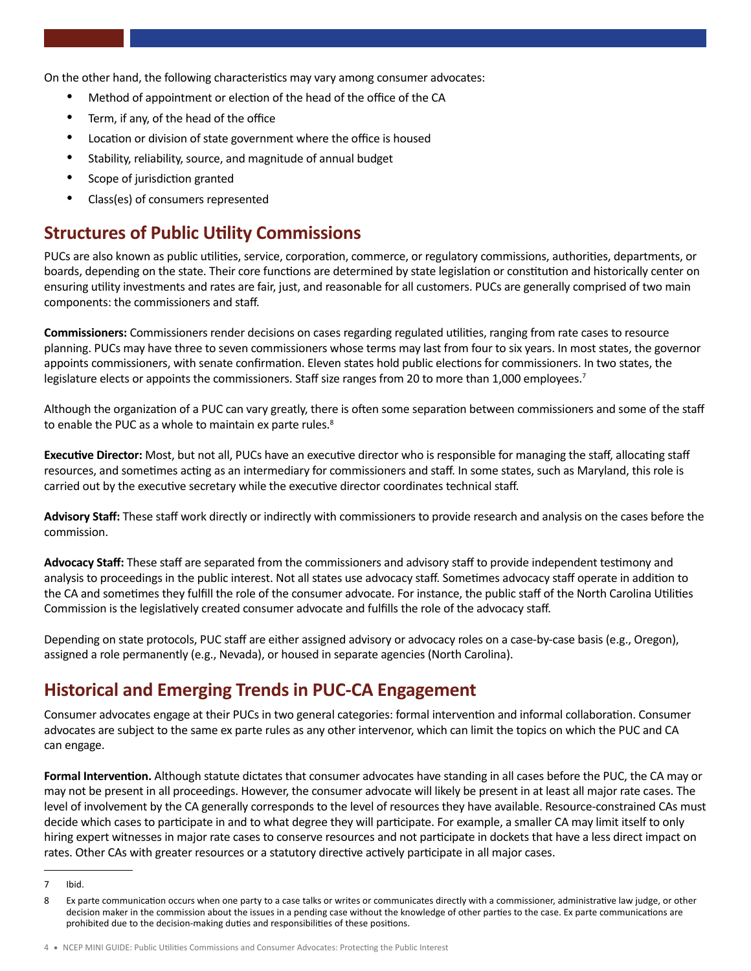On the other hand, the following characteristics may vary among consumer advocates:

- Method of appointment or election of the head of the office of the CA
- Term, if any, of the head of the office
- Location or division of state government where the office is housed
- Stability, reliability, source, and magnitude of annual budget
- Scope of jurisdiction granted
- Class(es) of consumers represented

### **Structures of Public Utility Commissions**

PUCs are also known as public utilities, service, corporation, commerce, or regulatory commissions, authorities, departments, or boards, depending on the state. Their core functions are determined by state legislation or constitution and historically center on ensuring utility investments and rates are fair, just, and reasonable for all customers. PUCs are generally comprised of two main components: the commissioners and staff.

**Commissioners:** Commissioners render decisions on cases regarding regulated utilities, ranging from rate cases to resource planning. PUCs may have three to seven commissioners whose terms may last from four to six years. In most states, the governor appoints commissioners, with senate confirmation. Eleven states hold public elections for commissioners. In two states, the legislature elects or appoints the commissioners. Staff size ranges from 20 to more than 1,000 employees.<sup>7</sup>

Although the organization of a PUC can vary greatly, there is often some separation between commissioners and some of the staff to enable the PUC as a whole to maintain ex parte rules.<sup>8</sup>

**Executive Director:** Most, but not all, PUCs have an executive director who is responsible for managing the staff, allocating staff resources, and sometimes acting as an intermediary for commissioners and staff. In some states, such as Maryland, this role is carried out by the executive secretary while the executive director coordinates technical staff.

**Advisory Staff:** These staff work directly or indirectly with commissioners to provide research and analysis on the cases before the commission.

**Advocacy Staff:** These staff are separated from the commissioners and advisory staff to provide independent testimony and analysis to proceedings in the public interest. Not all states use advocacy staff. Sometimes advocacy staff operate in addition to the CA and sometimes they fulfill the role of the consumer advocate. For instance, the public staff of the North Carolina Utilities Commission is the legislatively created consumer advocate and fulfills the role of the advocacy staff.

Depending on state protocols, PUC staff are either assigned advisory or advocacy roles on a case-by-case basis (e.g., Oregon), assigned a role permanently (e.g., Nevada), or housed in separate agencies (North Carolina).

### **Historical and Emerging Trends in PUC-CA Engagement**

Consumer advocates engage at their PUCs in two general categories: formal intervention and informal collaboration. Consumer advocates are subject to the same ex parte rules as any other intervenor, which can limit the topics on which the PUC and CA can engage.

**Formal Intervention.** Although statute dictates that consumer advocates have standing in all cases before the PUC, the CA may or may not be present in all proceedings. However, the consumer advocate will likely be present in at least all major rate cases. The level of involvement by the CA generally corresponds to the level of resources they have available. Resource-constrained CAs must decide which cases to participate in and to what degree they will participate. For example, a smaller CA may limit itself to only hiring expert witnesses in major rate cases to conserve resources and not participate in dockets that have a less direct impact on rates. Other CAs with greater resources or a statutory directive actively participate in all major cases.

<sup>7</sup> Ibid.

<sup>8</sup> Ex parte communication occurs when one party to a case talks or writes or communicates directly with a commissioner, administrative law judge, or other decision maker in the commission about the issues in a pending case without the knowledge of other parties to the case. Ex parte communications are prohibited due to the decision-making duties and responsibilities of these positions.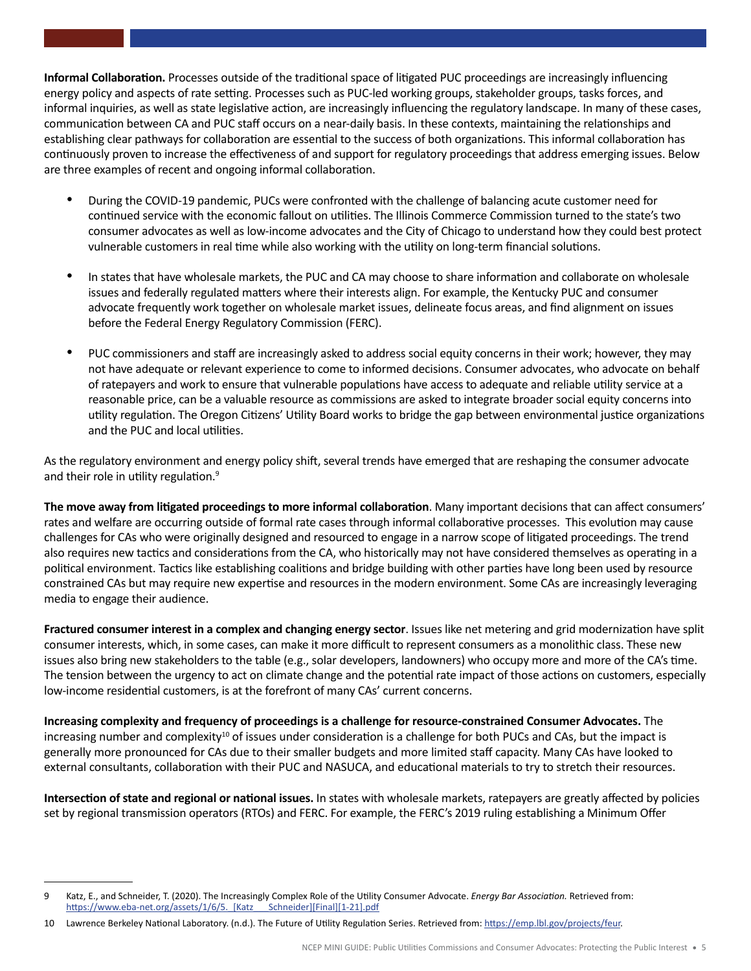**Informal Collaboration.** Processes outside of the traditional space of litigated PUC proceedings are increasingly influencing energy policy and aspects of rate setting. Processes such as PUC-led working groups, stakeholder groups, tasks forces, and informal inquiries, as well as state legislative action, are increasingly influencing the regulatory landscape. In many of these cases, communication between CA and PUC staff occurs on a near-daily basis. In these contexts, maintaining the relationships and establishing clear pathways for collaboration are essential to the success of both organizations. This informal collaboration has continuously proven to increase the effectiveness of and support for regulatory proceedings that address emerging issues. Below are three examples of recent and ongoing informal collaboration.

- During the COVID-19 pandemic, PUCs were confronted with the challenge of balancing acute customer need for continued service with the economic fallout on utilities. The Illinois Commerce Commission turned to the state's two consumer advocates as well as low-income advocates and the City of Chicago to understand how they could best protect vulnerable customers in real time while also working with the utility on long-term financial solutions.
- In states that have wholesale markets, the PUC and CA may choose to share information and collaborate on wholesale issues and federally regulated matters where their interests align. For example, the Kentucky PUC and consumer advocate frequently work together on wholesale market issues, delineate focus areas, and find alignment on issues before the Federal Energy Regulatory Commission (FERC).
- PUC commissioners and staff are increasingly asked to address social equity concerns in their work; however, they may not have adequate or relevant experience to come to informed decisions. Consumer advocates, who advocate on behalf of ratepayers and work to ensure that vulnerable populations have access to adequate and reliable utility service at a reasonable price, can be a valuable resource as commissions are asked to integrate broader social equity concerns into utility regulation. The Oregon Citizens' Utility Board works to bridge the gap between environmental justice organizations and the PUC and local utilities.

As the regulatory environment and energy policy shift, several trends have emerged that are reshaping the consumer advocate and their role in utility regulation.<sup>9</sup>

**The move away from litigated proceedings to more informal collaboration**. Many important decisions that can affect consumers' rates and welfare are occurring outside of formal rate cases through informal collaborative processes. This evolution may cause challenges for CAs who were originally designed and resourced to engage in a narrow scope of litigated proceedings. The trend also requires new tactics and considerations from the CA, who historically may not have considered themselves as operating in a political environment. Tactics like establishing coalitions and bridge building with other parties have long been used by resource constrained CAs but may require new expertise and resources in the modern environment. Some CAs are increasingly leveraging media to engage their audience.

**Fractured consumer interest in a complex and changing energy sector**. Issues like net metering and grid modernization have split consumer interests, which, in some cases, can make it more difficult to represent consumers as a monolithic class. These new issues also bring new stakeholders to the table (e.g., solar developers, landowners) who occupy more and more of the CA's time. The tension between the urgency to act on climate change and the potential rate impact of those actions on customers, especially low-income residential customers, is at the forefront of many CAs' current concerns.

**Increasing complexity and frequency of proceedings is a challenge for resource-constrained Consumer Advocates.** The increasing number and complexity<sup>10</sup> of issues under consideration is a challenge for both PUCs and CAs, but the impact is generally more pronounced for CAs due to their smaller budgets and more limited staff capacity. Many CAs have looked to external consultants, collaboration with their PUC and NASUCA, and educational materials to try to stretch their resources.

**Intersection of state and regional or national issues.** In states with wholesale markets, ratepayers are greatly affected by policies set by regional transmission operators (RTOs) and FERC. For example, the FERC's 2019 ruling establishing a Minimum Offer

<sup>9</sup> Katz, E., and Schneider, T. (2020). The Increasingly Complex Role of the Utility Consumer Advocate. *Energy Bar Association.* Retrieved from: https://www.eba-net.org/assets/1/6/5. [Katz Schneider][Final][1-21].pdf

<sup>10</sup> Lawrence Berkeley National Laboratory. (n.d.). The Future of Utility Regulation Series. Retrieved from: [https://emp.lbl.gov/projects/feur.](https://emp.lbl.gov/projects/feur)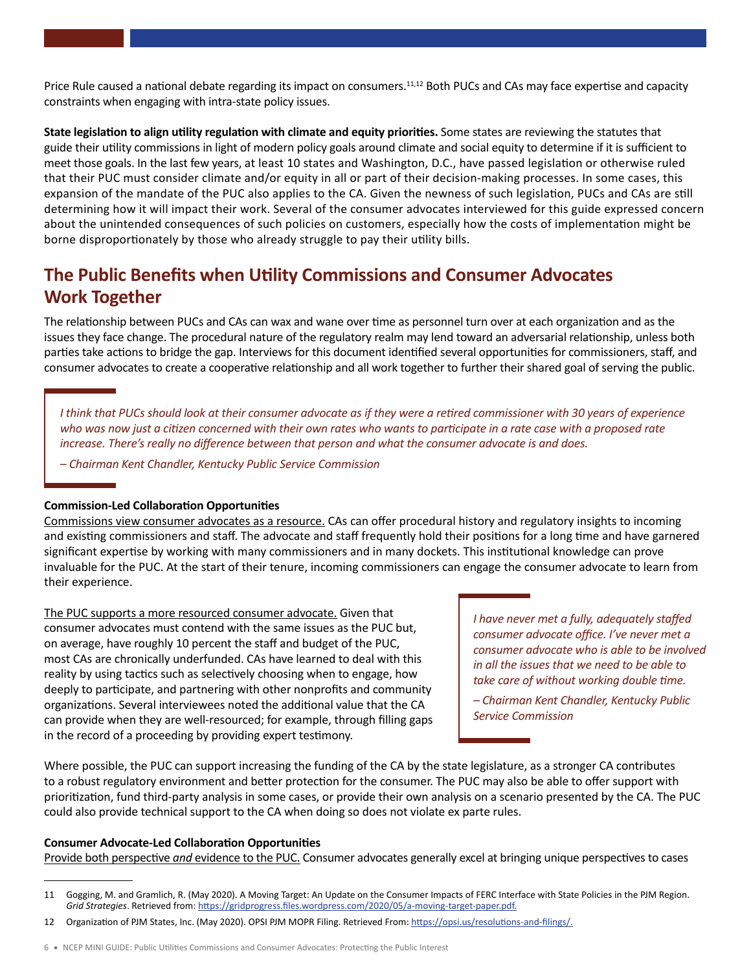Price Rule caused a national debate regarding its impact on consumers.<sup>11,12</sup> Both PUCs and CAs may face expertise and capacity constraints when engaging with intra-state policy issues.

 meet those goals. In the last few years, at least 10 states and Washington, D.C., have passed legislation or otherwise ruled **State legislation to align utility regulation with climate and equity priorities.** Some states are reviewing the statutes that guide their utility commissions in light of modern policy goals around climate and social equity to determine if it is sufficient to that their PUC must consider climate and/or equity in all or part of their decision-making processes. In some cases, this expansion of the mandate of the PUC also applies to the CA. Given the newness of such legislation, PUCs and CAs are still determining how it will impact their work. Several of the consumer advocates interviewed for this guide expressed concern about the unintended consequences of such policies on customers, especially how the costs of implementation might be borne disproportionately by those who already struggle to pay their utility bills.

# **The Public Benefits when Utility Commissions and Consumer Advocates Work Together**

The relationship between PUCs and CAs can wax and wane over time as personnel turn over at each organization and as the issues they face change. The procedural nature of the regulatory realm may lend toward an adversarial relationship, unless both parties take actions to bridge the gap. Interviews for this document identified several opportunities for commissioners, staff, and consumer advocates to create a cooperative relationship and all work together to further their shared goal of serving the public.

*I think that PUCs should look at their consumer advocate as if they were a retired commissioner with 30 years of experience who was now just a citizen concerned with their own rates who wants to participate in a rate case with a proposed rate increase. There's really no difference between that person and what the consumer advocate is and does.*

*– Chairman Kent Chandler, Kentucky Public Service Commission*

#### **Commission-Led Collaboration Opportunities**

Commissions view consumer advocates as a resource. CAs can offer procedural history and regulatory insights to incoming and existing commissioners and staff. The advocate and staff frequently hold their positions for a long time and have garnered significant expertise by working with many commissioners and in many dockets. This institutional knowledge can prove invaluable for the PUC. At the start of their tenure, incoming commissioners can engage the consumer advocate to learn from their experience.

The PUC supports a more resourced consumer advocate. Given that consumer advocates must contend with the same issues as the PUC but, on average, have roughly 10 percent the staff and budget of the PUC, most CAs are chronically underfunded. CAs have learned to deal with this reality by using tactics such as selectively choosing when to engage, how deeply to participate, and partnering with other nonprofits and community organizations. Several interviewees noted the additional value that the CA can provide when they are well-resourced; for example, through filling gaps in the record of a proceeding by providing expert testimony.

*I have never met a fully, adequately staffed consumer advocate office. I've never met a consumer advocate who is able to be involved in all the issues that we need to be able to take care of without working double time.*

*– Chairman Kent Chandler, Kentucky Public Service Commission*

Where possible, the PUC can support increasing the funding of the CA by the state legislature, as a stronger CA contributes to a robust regulatory environment and better protection for the consumer. The PUC may also be able to offer support with prioritization, fund third-party analysis in some cases, or provide their own analysis on a scenario presented by the CA. The PUC could also provide technical support to the CA when doing so does not violate ex parte rules.

#### **Consumer Advocate-Led Collaboration Opportunities**

Provide both perspective *and* evidence to the PUC. Consumer advocates generally excel at bringing unique perspectives to cases

<sup>11</sup> Gogging, M. and Gramlich, R. (May 2020). A Moving Target: An Update on the Consumer Impacts of FERC Interface with State Policies in the PJM Region. *Grid Strategies*. Retrieved from: <https://gridprogress.files.wordpress.com/2020/05/a-moving-target-paper.pdf>.

<sup>12</sup> Organization of PJM States, Inc. (May 2020). OPSI PJM MOPR Filing. Retrieved From:<https://opsi.us/resolutions-and-filings/>.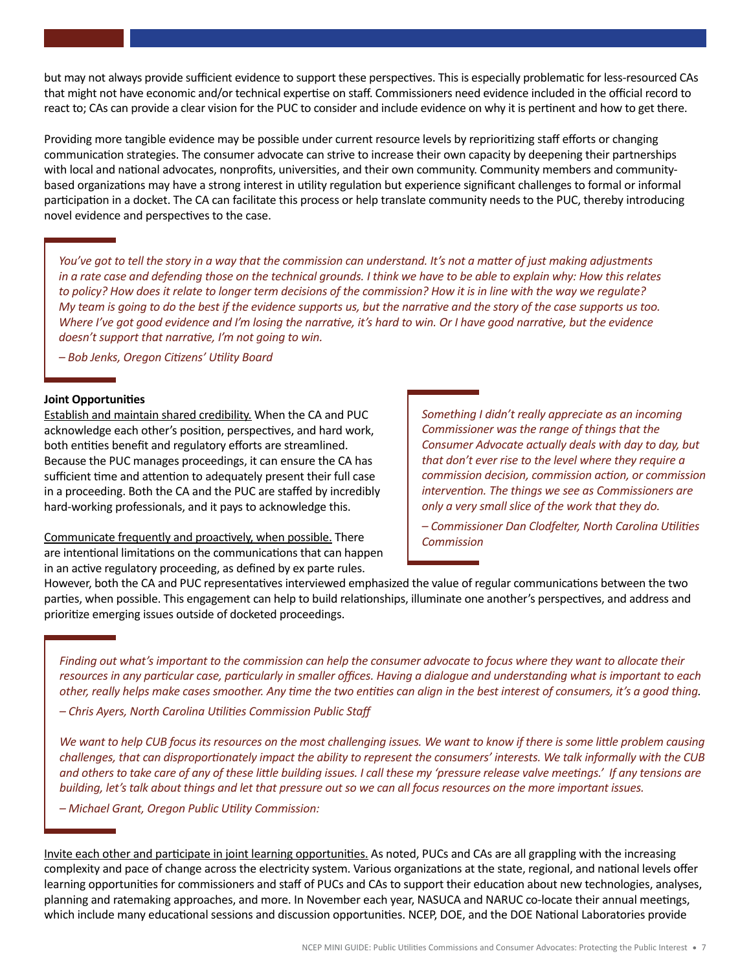but may not always provide sufficient evidence to support these perspectives. This is especially problematic for less-resourced CAs that might not have economic and/or technical expertise on staff. Commissioners need evidence included in the official record to react to; CAs can provide a clear vision for the PUC to consider and include evidence on why it is pertinent and how to get there.

Providing more tangible evidence may be possible under current resource levels by reprioritizing staff efforts or changing communication strategies. The consumer advocate can strive to increase their own capacity by deepening their partnerships with local and national advocates, nonprofits, universities, and their own community. Community members and communitybased organizations may have a strong interest in utility regulation but experience significant challenges to formal or informal participation in a docket. The CA can facilitate this process or help translate community needs to the PUC, thereby introducing novel evidence and perspectives to the case.

*You've got to tell the story in a way that the commission can understand. It's not a matter of just making adjustments in a rate case and defending those on the technical grounds. I think we have to be able to explain why: How this relates to policy? How does it relate to longer term decisions of the commission? How it is in line with the way we regulate? My team is going to do the best if the evidence supports us, but the narrative and the story of the case supports us too. Where I've got good evidence and I'm losing the narrative, it's hard to win. Or I have good narrative, but the evidence doesn't support that narrative, I'm not going to win.*

*– Bob Jenks, Oregon Citizens' Utility Board*

#### **Joint Opportunities**

Establish and maintain shared credibility. When the CA and PUC acknowledge each other's position, perspectives, and hard work, both entities benefit and regulatory efforts are streamlined. Because the PUC manages proceedings, it can ensure the CA has sufficient time and attention to adequately present their full case in a proceeding. Both the CA and the PUC are staffed by incredibly hard-working professionals, and it pays to acknowledge this.

Communicate frequently and proactively, when possible. There are intentional limitations on the communications that can happen in an active regulatory proceeding, as defined by ex parte rules.

*Something I didn't really appreciate as an incoming Commissioner was the range of things that the Consumer Advocate actually deals with day to day, but that don't ever rise to the level where they require a commission decision, commission action, or commission intervention. The things we see as Commissioners are only a very small slice of the work that they do.*

*– Commissioner Dan Clodfelter, North Carolina Utilities Commission*

However, both the CA and PUC representatives interviewed emphasized the value of regular communications between the two parties, when possible. This engagement can help to build relationships, illuminate one another's perspectives, and address and prioritize emerging issues outside of docketed proceedings.

*Finding out what's important to the commission can help the consumer advocate to focus where they want to allocate their resources in any particular case, particularly in smaller offices. Having a dialogue and understanding what is important to each other, really helps make cases smoother. Any time the two entities can align in the best interest of consumers, it's a good thing.*

*– Chris Ayers, North Carolina Utilities Commission Public Staff*

*We want to help CUB focus its resources on the most challenging issues. We want to know if there is some little problem causing challenges, that can disproportionately impact the ability to represent the consumers' interests. We talk informally with the CUB and others to take care of any of these little building issues. I call these my 'pressure release valve meetings.' If any tensions are building, let's talk about things and let that pressure out so we can all focus resources on the more important issues.*

*– Michael Grant, Oregon Public Utility Commission:*

Invite each other and participate in joint learning opportunities. As noted, PUCs and CAs are all grappling with the increasing complexity and pace of change across the electricity system. Various organizations at the state, regional, and national levels offer learning opportunities for commissioners and staff of PUCs and CAs to support their education about new technologies, analyses, planning and ratemaking approaches, and more. In November each year, NASUCA and NARUC co-locate their annual meetings, which include many educational sessions and discussion opportunities. NCEP, DOE, and the DOE National Laboratories provide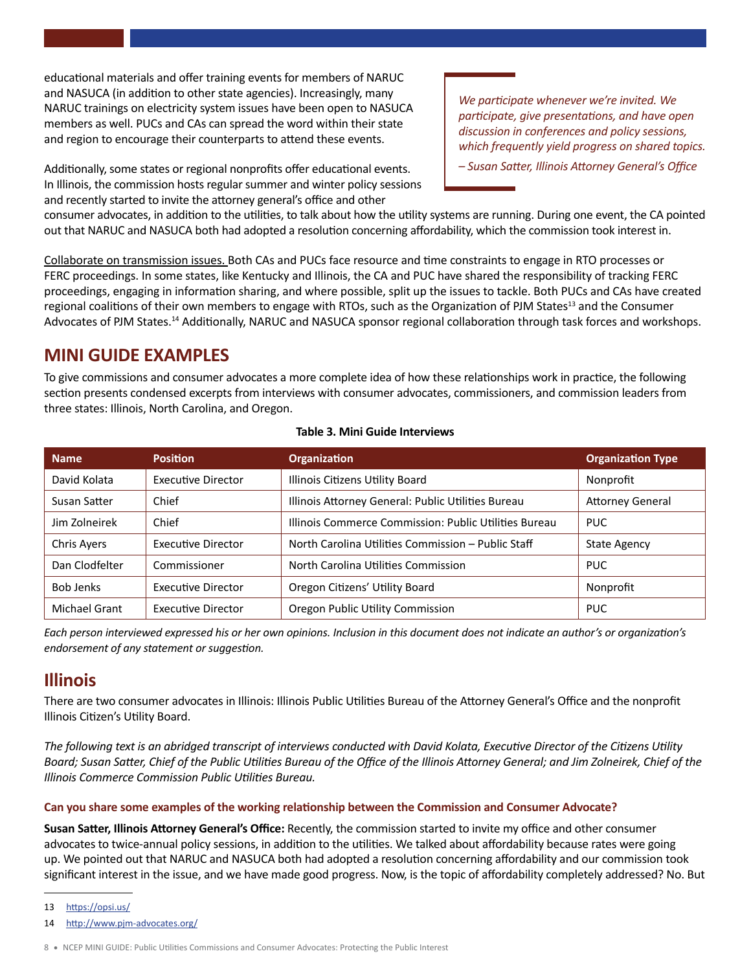educational materials and offer training events for members of NARUC and NASUCA (in addition to other state agencies). Increasingly, many NARUC trainings on electricity system issues have been open to NASUCA members as well. PUCs and CAs can spread the word within their state and region to encourage their counterparts to attend these events.

 In Illinois, the commission hosts regular summer and winter policy sessions Additionally, some states or regional nonprofits offer educational events. and recently started to invite the attorney general's office and other

*We participate whenever we're invited. We participate, give presentations, and have open discussion in conferences and policy sessions, which frequently yield progress on shared topics.*

*– Susan Satter, Illinois Attorney General's Office*

consumer advocates, in addition to the utilities, to talk about how the utility systems are running. During one event, the CA pointed out that NARUC and NASUCA both had adopted a resolution concerning affordability, which the commission took interest in.

Collaborate on transmission issues. Both CAs and PUCs face resource and time constraints to engage in RTO processes or FERC proceedings. In some states, like Kentucky and Illinois, the CA and PUC have shared the responsibility of tracking FERC proceedings, engaging in information sharing, and where possible, split up the issues to tackle. Both PUCs and CAs have created regional coalitions of their own members to engage with RTOs, such as the Organization of PJM States<sup>13</sup> and the Consumer Advocates of PJM [States.14](https://States.14) Additionally, NARUC and NASUCA sponsor regional collaboration through task forces and workshops.

# **MINI GUIDE EXAMPLES**

To give commissions and consumer advocates a more complete idea of how these relationships work in practice, the following section presents condensed excerpts from interviews with consumer advocates, commissioners, and commission leaders from three states: Illinois, North Carolina, and Oregon.

#### **Table 3. Mini Guide Interviews**

| <b>Name</b>      | <b>Position</b>           | <b>Organization</b>                                   | <b>Organization Type</b> |
|------------------|---------------------------|-------------------------------------------------------|--------------------------|
| David Kolata     | <b>Executive Director</b> | Illinois Citizens Utility Board                       | Nonprofit                |
| Susan Satter     | Chief                     | Illinois Attorney General: Public Utilities Bureau    | <b>Attorney General</b>  |
| Jim Zolneirek    | Chief                     | Illinois Commerce Commission: Public Utilities Bureau | <b>PUC</b>               |
| Chris Ayers      | <b>Executive Director</b> | North Carolina Utilities Commission - Public Staff    | <b>State Agency</b>      |
| Dan Clodfelter   | Commissioner              | North Carolina Utilities Commission                   | <b>PUC</b>               |
| <b>Bob Jenks</b> | <b>Executive Director</b> | Oregon Citizens' Utility Board                        | Nonprofit                |
| Michael Grant    | <b>Executive Director</b> | Oregon Public Utility Commission                      | <b>PUC</b>               |

*Each person interviewed expressed his or her own opinions. Inclusion in this document does not indicate an author's or organization's endorsement of any statement or suggestion.*

# **Illinois**

There are two consumer advocates in Illinois: Illinois Public Utilities Bureau of the Attorney General's Office and the nonprofit Illinois Citizen's Utility Board.

*The following text is an abridged transcript of interviews conducted with David Kolata, Executive Director of the Citizens Utility Board; Susan Satter, Chief of the Public Utilities Bureau of the Office of the Illinois Attorney General; and Jim Zolneirek, Chief of the Illinois Commerce Commission Public Utilities Bureau.*

#### **Can you share some examples of the working relationship between the Commission and Consumer Advocate?**

**Susan Satter, Illinois Attorney General's Office:** Recently, the commission started to invite my office and other consumer advocates to twice-annual policy sessions, in addition to the utilities. We talked about affordability because rates were going up. We pointed out that NARUC and NASUCA both had adopted a resolution concerning affordability and our commission took significant interest in the issue, and we have made good progress. Now, is the topic of affordability completely addressed? No. But

13 <https://opsi.us/>

14 <http://www.pjm-advocates.org/>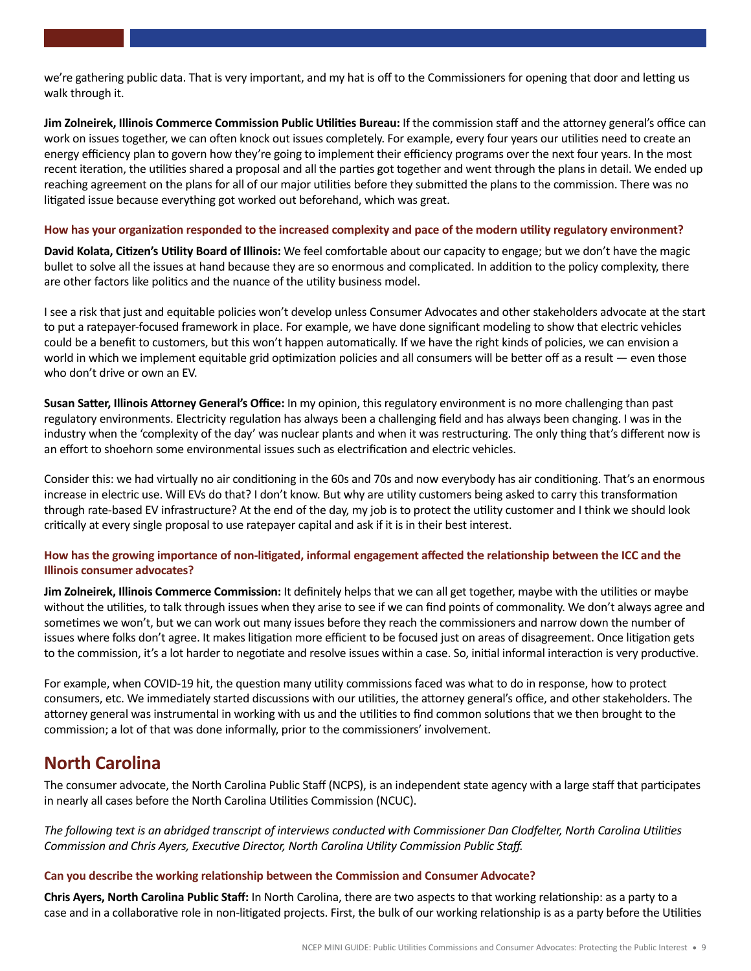we're gathering public data. That is very important, and my hat is off to the Commissioners for opening that door and letting us walk through it.

 **Jim Zolneirek, Illinois Commerce Commission Public Utilities Bureau:** If the commission staff and the attorney general's office can work on issues together, we can often knock out issues completely. For example, every four years our utilities need to create an energy efficiency plan to govern how they're going to implement their efficiency programs over the next four years. In the most recent iteration, the utilities shared a proposal and all the parties got together and went through the plans in detail. We ended up reaching agreement on the plans for all of our major utilities before they submitted the plans to the commission. There was no litigated issue because everything got worked out beforehand, which was great.

#### **How has your organization responded to the increased complexity and pace of the modern utility regulatory environment?**

**David Kolata, Citizen's Utility Board of Illinois:** We feel comfortable about our capacity to engage; but we don't have the magic bullet to solve all the issues at hand because they are so enormous and complicated. In addition to the policy complexity, there are other factors like politics and the nuance of the utility business model.

I see a risk that just and equitable policies won't develop unless Consumer Advocates and other stakeholders advocate at the start to put a ratepayer-focused framework in place. For example, we have done significant modeling to show that electric vehicles could be a benefit to customers, but this won't happen automatically. If we have the right kinds of policies, we can envision a world in which we implement equitable grid optimization policies and all consumers will be better off as a result — even those who don't drive or own an EV.

**Susan Satter, Illinois Attorney General's Office:** In my opinion, this regulatory environment is no more challenging than past regulatory environments. Electricity regulation has always been a challenging field and has always been changing. I was in the industry when the 'complexity of the day' was nuclear plants and when it was restructuring. The only thing that's different now is an effort to shoehorn some environmental issues such as electrification and electric vehicles.

Consider this: we had virtually no air conditioning in the 60s and 70s and now everybody has air conditioning. That's an enormous increase in electric use. Will EVs do that? I don't know. But why are utility customers being asked to carry this transformation through rate-based EV infrastructure? At the end of the day, my job is to protect the utility customer and I think we should look critically at every single proposal to use ratepayer capital and ask if it is in their best interest.

#### **How has the growing importance of non-litigated, informal engagement affected the relationship between the ICC and the Illinois consumer advocates?**

**Jim Zolneirek, Illinois Commerce Commission:** It definitely helps that we can all get together, maybe with the utilities or maybe without the utilities, to talk through issues when they arise to see if we can find points of commonality. We don't always agree and sometimes we won't, but we can work out many issues before they reach the commissioners and narrow down the number of issues where folks don't agree. It makes litigation more efficient to be focused just on areas of disagreement. Once litigation gets to the commission, it's a lot harder to negotiate and resolve issues within a case. So, initial informal interaction is very productive.

For example, when COVID-19 hit, the question many utility commissions faced was what to do in response, how to protect consumers, etc. We immediately started discussions with our utilities, the attorney general's office, and other stakeholders. The attorney general was instrumental in working with us and the utilities to find common solutions that we then brought to the commission; a lot of that was done informally, prior to the commissioners' involvement.

## **North Carolina**

The consumer advocate, the North Carolina Public Staff (NCPS), is an independent state agency with a large staff that participates in nearly all cases before the North Carolina Utilities Commission (NCUC).

*The following text is an abridged transcript of interviews conducted with Commissioner Dan Clodfelter, North Carolina Utilities Commission and Chris Ayers, Executive Director, North Carolina Utility Commission Public Staff.*

#### **Can you describe the working relationship between the Commission and Consumer Advocate?**

**Chris Ayers, North Carolina Public Staff:** In North Carolina, there are two aspects to that working relationship: as a party to a case and in a collaborative role in non-litigated projects. First, the bulk of our working relationship is as a party before the Utilities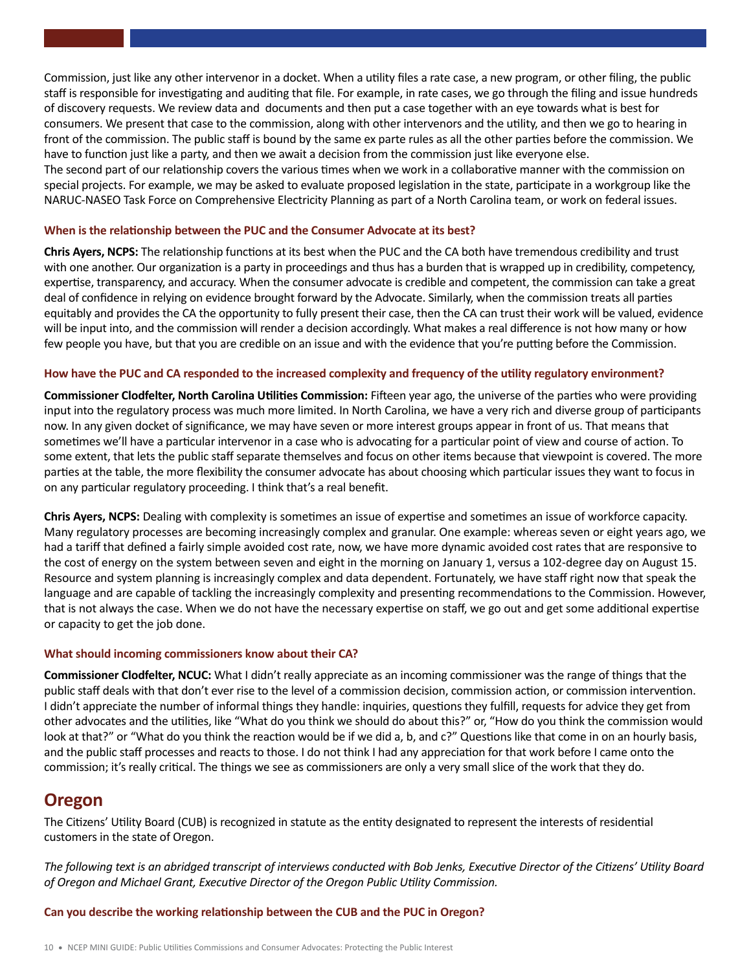Commission, just like any other intervenor in a docket. When a utility files a rate case, a new program, or other filing, the public staff is responsible for investigating and auditing that file. For example, in rate cases, we go through the filing and issue hundreds of discovery requests. We review data and documents and then put a case together with an eye towards what is best for consumers. We present that case to the commission, along with other intervenors and the utility, and then we go to hearing in front of the commission. The public staff is bound by the same ex parte rules as all the other parties before the commission. We have to function just like a party, and then we await a decision from the commission just like everyone else. The second part of our relationship covers the various times when we work in a collaborative manner with the commission on special projects. For example, we may be asked to evaluate proposed legislation in the state, participate in a workgroup like the

NARUC-NASEO Task Force on Comprehensive Electricity Planning as part of a North Carolina team, or work on federal issues.

#### **When is the relationship between the PUC and the Consumer Advocate at its best?**

**Chris Ayers, NCPS:** The relationship functions at its best when the PUC and the CA both have tremendous credibility and trust with one another. Our organization is a party in proceedings and thus has a burden that is wrapped up in credibility, competency, expertise, transparency, and accuracy. When the consumer advocate is credible and competent, the commission can take a great deal of confidence in relying on evidence brought forward by the Advocate. Similarly, when the commission treats all parties equitably and provides the CA the opportunity to fully present their case, then the CA can trust their work will be valued, evidence will be input into, and the commission will render a decision accordingly. What makes a real difference is not how many or how few people you have, but that you are credible on an issue and with the evidence that you're putting before the Commission.

#### **How have the PUC and CA responded to the increased complexity and frequency of the utility regulatory environment?**

**Commissioner Clodfelter, North Carolina Utilities Commission:** Fifteen year ago, the universe of the parties who were providing input into the regulatory process was much more limited. In North Carolina, we have a very rich and diverse group of participants now. In any given docket of significance, we may have seven or more interest groups appear in front of us. That means that sometimes we'll have a particular intervenor in a case who is advocating for a particular point of view and course of action. To some extent, that lets the public staff separate themselves and focus on other items because that viewpoint is covered. The more parties at the table, the more flexibility the consumer advocate has about choosing which particular issues they want to focus in on any particular regulatory proceeding. I think that's a real benefit.

 or capacity to get the job done. **Chris Ayers, NCPS:** Dealing with complexity is sometimes an issue of expertise and sometimes an issue of workforce capacity. Many regulatory processes are becoming increasingly complex and granular. One example: whereas seven or eight years ago, we had a tariff that defined a fairly simple avoided cost rate, now, we have more dynamic avoided cost rates that are responsive to the cost of energy on the system between seven and eight in the morning on January 1, versus a 102-degree day on August 15. Resource and system planning is increasingly complex and data dependent. Fortunately, we have staff right now that speak the language and are capable of tackling the increasingly complexity and presenting recommendations to the Commission. However, that is not always the case. When we do not have the necessary expertise on staff, we go out and get some additional expertise

#### **What should incoming commissioners know about their CA?**

**Commissioner Clodfelter, NCUC:** What I didn't really appreciate as an incoming commissioner was the range of things that the public staff deals with that don't ever rise to the level of a commission decision, commission action, or commission intervention. I didn't appreciate the number of informal things they handle: inquiries, questions they fulfill, requests for advice they get from other advocates and the utilities, like "What do you think we should do about this?" or, "How do you think the commission would look at that?" or "What do you think the reaction would be if we did a, b, and c?" Questions like that come in on an hourly basis, and the public staff processes and reacts to those. I do not think I had any appreciation for that work before I came onto the commission; it's really critical. The things we see as commissioners are only a very small slice of the work that they do.

### **Oregon**

The Citizens' Utility Board (CUB) is recognized in statute as the entity designated to represent the interests of residential customers in the state of Oregon.

*The following text is an abridged transcript of interviews conducted with Bob Jenks, Executive Director of the Citizens' Utility Board of Oregon and Michael Grant, Executive Director of the Oregon Public Utility Commission.*

**Can you describe the working relationship between the CUB and the PUC in Oregon?**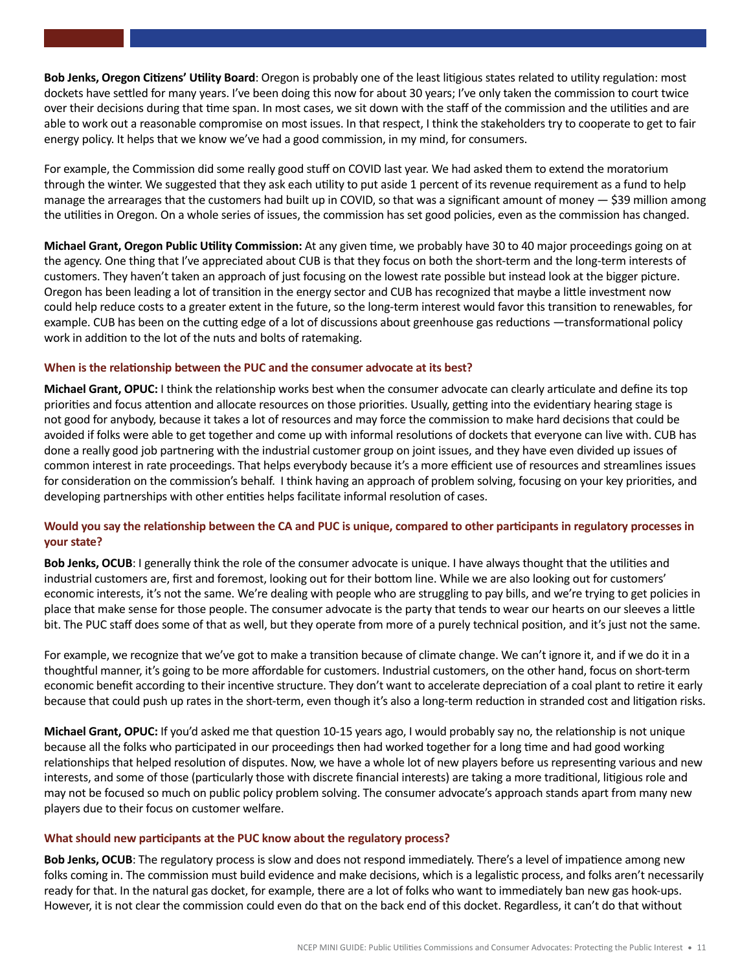**Bob Jenks, Oregon Citizens' Utility Board**: Oregon is probably one of the least litigious states related to utility regulation: most dockets have settled for many years. I've been doing this now for about 30 years; I've only taken the commission to court twice over their decisions during that time span. In most cases, we sit down with the staff of the commission and the utilities and are able to work out a reasonable compromise on most issues. In that respect, I think the stakeholders try to cooperate to get to fair energy policy. It helps that we know we've had a good commission, in my mind, for consumers.

For example, the Commission did some really good stuff on COVID last year. We had asked them to extend the moratorium through the winter. We suggested that they ask each utility to put aside 1 percent of its revenue requirement as a fund to help manage the arrearages that the customers had built up in COVID, so that was a significant amount of money  $-$  \$39 million among the utilities in Oregon. On a whole series of issues, the commission has set good policies, even as the commission has changed.

**Michael Grant, Oregon Public Utility Commission:** At any given time, we probably have 30 to 40 major proceedings going on at the agency. One thing that I've appreciated about CUB is that they focus on both the short-term and the long-term interests of customers. They haven't taken an approach of just focusing on the lowest rate possible but instead look at the bigger picture. Oregon has been leading a lot of transition in the energy sector and CUB has recognized that maybe a little investment now could help reduce costs to a greater extent in the future, so the long-term interest would favor this transition to renewables, for example. CUB has been on the cutting edge of a lot of discussions about greenhouse gas reductions —transformational policy work in addition to the lot of the nuts and bolts of ratemaking.

#### **When is the relationship between the PUC and the consumer advocate at its best?**

**Michael Grant, OPUC:** I think the relationship works best when the consumer advocate can clearly articulate and define its top priorities and focus attention and allocate resources on those priorities. Usually, getting into the evidentiary hearing stage is not good for anybody, because it takes a lot of resources and may force the commission to make hard decisions that could be avoided if folks were able to get together and come up with informal resolutions of dockets that everyone can live with. CUB has done a really good job partnering with the industrial customer group on joint issues, and they have even divided up issues of common interest in rate proceedings. That helps everybody because it's a more efficient use of resources and streamlines issues for consideration on the commission's behalf. I think having an approach of problem solving, focusing on your key priorities, and developing partnerships with other entities helps facilitate informal resolution of cases.

#### **Would you say the relationship between the CA and PUC is unique, compared to other participants in regulatory processes in your state?**

**Bob Jenks, OCUB**: I generally think the role of the consumer advocate is unique. I have always thought that the utilities and industrial customers are, first and foremost, looking out for their bottom line. While we are also looking out for customers' economic interests, it's not the same. We're dealing with people who are struggling to pay bills, and we're trying to get policies in place that make sense for those people. The consumer advocate is the party that tends to wear our hearts on our sleeves a little bit. The PUC staff does some of that as well, but they operate from more of a purely technical position, and it's just not the same.

For example, we recognize that we've got to make a transition because of climate change. We can't ignore it, and if we do it in a thoughtful manner, it's going to be more affordable for customers. Industrial customers, on the other hand, focus on short-term economic benefit according to their incentive structure. They don't want to accelerate depreciation of a coal plant to retire it early because that could push up rates in the short-term, even though it's also a long-term reduction in stranded cost and litigation risks.

**Michael Grant, OPUC:** If you'd asked me that question 10-15 years ago, I would probably say no, the relationship is not unique because all the folks who participated in our proceedings then had worked together for a long time and had good working relationships that helped resolution of disputes. Now, we have a whole lot of new players before us representing various and new interests, and some of those (particularly those with discrete financial interests) are taking a more traditional, litigious role and may not be focused so much on public policy problem solving. The consumer advocate's approach stands apart from many new players due to their focus on customer welfare.

#### **What should new participants at the PUC know about the regulatory process?**

**Bob Jenks, OCUB**: The regulatory process is slow and does not respond immediately. There's a level of impatience among new folks coming in. The commission must build evidence and make decisions, which is a legalistic process, and folks aren't necessarily ready for that. In the natural gas docket, for example, there are a lot of folks who want to immediately ban new gas hook-ups. However, it is not clear the commission could even do that on the back end of this docket. Regardless, it can't do that without